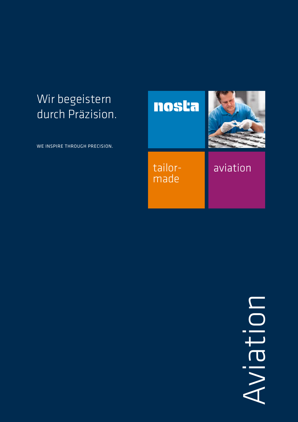# Wir begeistern durch Präzision.

WE INSPIRE THROUGH PRECISION.



NOIJEIV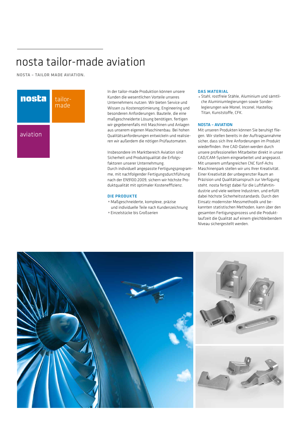# nosta tailor-made aviation

NOSTA – TAILOR MADE AVIATION.



In der tailor-made Produktion können unsere Kunden die wesentlichen Vorteile unseres Unternehmens nutzen: Wir bieten Service und Wissen zu Kostenoptimierung, Engineering und besonderen Anforderungen. Bauteile, die eine maßgeschneiderte Lösung benötigen, fertigen wir gegebenenfalls mit Maschinen und Anlagen aus unserem eigenen Maschinenbau. Bei hohen Qualitätsanforderungen entwickeln und realisieren wir außerdem die nötigen Prüfautomaten.

Insbesondere im Marktbereich Aviation sind Sicherheit und Produktqualität die Erfolgsfaktoren unserer Unternehmung. Durch individuell angepasste Fertigungsprogramme, mit nachfolgender Fertigungsdurchführung nach der EN9100:2009, sichern wir höchste Produktqualität mit optimaler Kosteneffizienz.

# DIE PRODUKTE

- <sup>p</sup> Maßgeschneiderte, komplexe, präzise und individuelle Teile nach Kundenzeichnung
- <sup>p</sup> Einzelstücke bis Großserien

#### DAS MATERIAL

p Stahl, rostfreie Stähle, Aluminium und sämtliche Aluminiumlegierungen sowie Sonderlegierungen wie Monel, Inconel, Hastelloy, Titan, Kunststoffe, CFK.

# NOSTA – AVIATION

Mit unseren Produkten können Sie beruhigt fliegen. Wir stellen bereits in der Auftragsannahme sicher, dass sich Ihre Anforderungen im Produkt wiederfinden. Ihre CAD-Daten werden durch unsere professionellen Mitarbeiter direkt in unser CAD/CAM-System eingearbeitet und angepasst. Mit unserem umfangreichen CNC fünf-Achs Maschinenpark stellen wir uns Ihrer Kreativität. Einer Kreativität der unbegrenzter Raum an Präzision und Qualitätsanspruch zur Verfügung steht. nosta fertigt dabei für die Luftfahrtindustrie und viele weitere Industrien, und erfüllt dabei höchste Sicherheitsstandards. Durch den Einsatz modernster Messmethodik und bekannten statistischen Methoden, kann über den gesamten Fertigungsprozess und die Produktlaufzeit die Qualität auf einem gleichbleibendem Niveau sichergestellt werden.

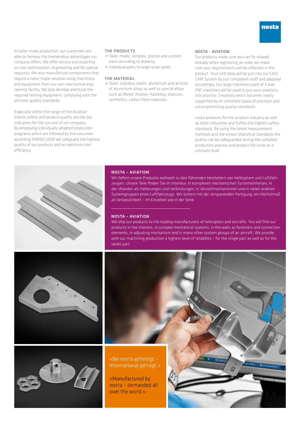

In tailor-made production, our customers are able to harness the tremendous advantages our company offers: We offer service and expertise on cost optimisation, engineering and for special requests. We also manufacture components that require a tailor-made solution using machinery and equipment from our own mechanical engineering facility. We also develop and build the required testing equipment, complying with the strictest quality standards.

Especially within the range of the Aviation branch,safety and product quality are the key indicators for the success of our company. By employing individually adapted production programs which are followed by the execution according EN9100:2009 we safeguard the highest quality of our products and an optimum cost efficiency.

#### THE PRODUCTS

- Tailor-made, complex, precise and custom parts according to drawing
- p Individual parts to large-scale series

#### THE MATERIAL

 $\blacksquare$  Steel, stainless steels, aluminium and all kind of aluminium alloys as well as special alloys such as Monel, Inconel, Hastelloy, titanium, synthetics, carbon fibre materials.

## NOSTA – AVIATION

Our products make sure you can fly relaxed. Already when registering an order we make sure your requirements will be reflected in the product. Your CAD data will be put into our CAD/ CAM System by our competent staff and adapted accordingly. Our large machinery park of 5 axle CNC machines will be used to put your creativity into practice. Creativity which becomes reality supported by an unlimited space of precision and uncompromising quality standards.

nosta produces for the aviation industry as well as other industries and fulfills the highest safety standards. By using the latest measurement methods and the known statistical standards the quality can be safeguarded during the complete production process and product life circle on a constant level.



#### NOSTA – AVIATION

Wir liefern unsere Produkte weltweit zu den führenden Herstellern von Helikoptern und Luftfahrzeugen. Unsere Teile finden Sie im Interieur, in komplexen mechanischen Systemeinheiten, in den Wänden als Halterungen und Verbindungen, in Verstellmechanismen und in vielen anderen Systemgruppen eines Luftfahrzeugs. Wir sichern mit der zerspanenden Fertigung, ein Höchstmaß an Verlässlichkeit – im Einzelteil wie in der Serie.

#### NOSTA – AVIATION

We ship our products to the leading manufacturers of helicopters and aircrafts. You will find our products in the interiors, in complex mechanical systems, in the walls as fasteners and connection elements, in adjusting mechanism and in many other system groups of an aircraft. We provide with our machining production a highest level of reliability – for the single part as well as for the series part.